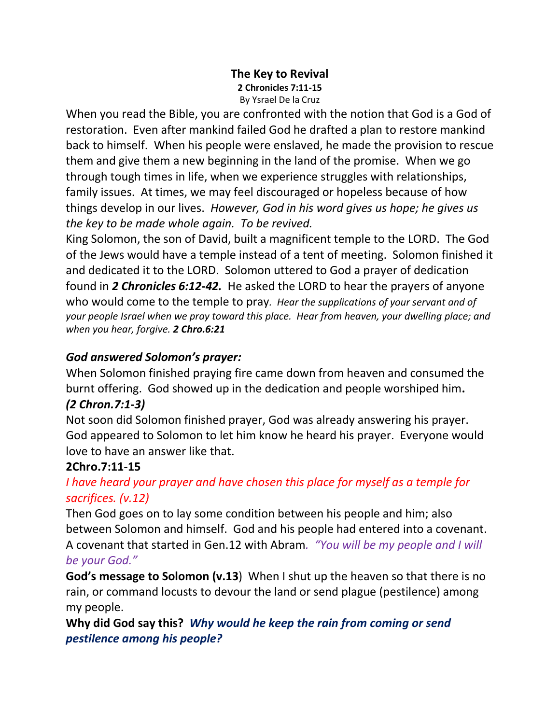#### **The Key to Revival 2 Chronicles 7:11-15** By Ysrael De la Cruz

When you read the Bible, you are confronted with the notion that God is a God of restoration. Even after mankind failed God he drafted a plan to restore mankind back to himself. When his people were enslaved, he made the provision to rescue them and give them a new beginning in the land of the promise. When we go through tough times in life, when we experience struggles with relationships, family issues. At times, we may feel discouraged or hopeless because of how things develop in our lives. *However, God in his word gives us hope; he gives us the key to be made whole again. To be revived.*

King Solomon, the son of David, built a magnificent temple to the LORD. The God of the Jews would have a temple instead of a tent of meeting. Solomon finished it and dedicated it to the LORD. Solomon uttered to God a prayer of dedication found in *2 Chronicles 6:12-42.* He asked the LORD to hear the prayers of anyone who would come to the temple to pray*. Hear the supplications of your servant and of your people Israel when we pray toward this place. Hear from heaven, your dwelling place; and when you hear, forgive. 2 Chro.6:21*

## *God answered Solomon's prayer:*

When Solomon finished praying fire came down from heaven and consumed the burnt offering. God showed up in the dedication and people worshiped him**.**  *(2 Chron.7:1-3)*

# Not soon did Solomon finished prayer, God was already answering his prayer.

God appeared to Solomon to let him know he heard his prayer. Everyone would love to have an answer like that.

#### **2Chro.7:11-15**

## *I have heard your prayer and have chosen this place for myself as a temple for sacrifices. (v.12)*

Then God goes on to lay some condition between his people and him; also between Solomon and himself. God and his people had entered into a covenant. A covenant that started in Gen.12 with Abram*. "You will be my people and I will be your God."*

**God's message to Solomon (v.13**) When I shut up the heaven so that there is no rain, or command locusts to devour the land or send plague (pestilence) among my people.

**Why did God say this?** *Why would he keep the rain from coming or send pestilence among his people?*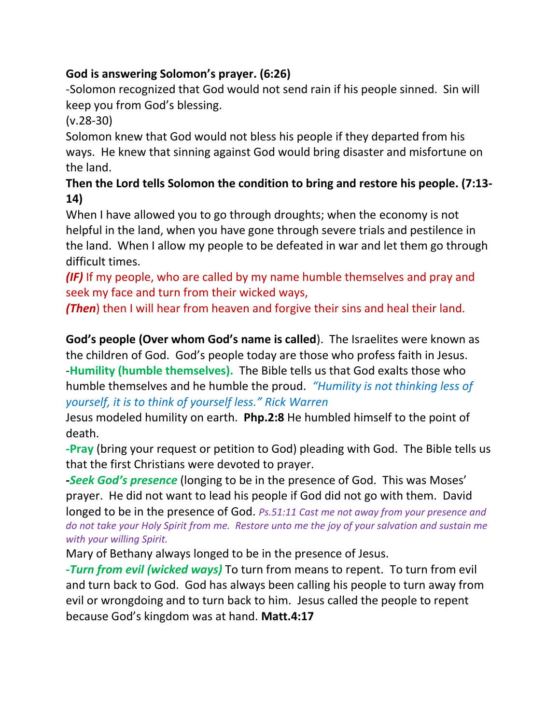# **God is answering Solomon's prayer. (6:26)**

-Solomon recognized that God would not send rain if his people sinned. Sin will keep you from God's blessing.

(v.28-30)

Solomon knew that God would not bless his people if they departed from his ways. He knew that sinning against God would bring disaster and misfortune on the land.

## **Then the Lord tells Solomon the condition to bring and restore his people. (7:13- 14)**

When I have allowed you to go through droughts; when the economy is not helpful in the land, when you have gone through severe trials and pestilence in the land. When I allow my people to be defeated in war and let them go through difficult times.

*(IF)* If my people, who are called by my name humble themselves and pray and seek my face and turn from their wicked ways,

*(Then*) then I will hear from heaven and forgive their sins and heal their land.

**God's people (Over whom God's name is called**). The Israelites were known as the children of God. God's people today are those who profess faith in Jesus. -**Humility (humble themselves).** The Bible tells us that God exalts those who humble themselves and he humble the proud. *"Humility is not thinking less of yourself, it is to think of yourself less." Rick Warren*

Jesus modeled humility on earth. **Php.2:8** He humbled himself to the point of death.

**-Pray** (bring your request or petition to God) pleading with God. The Bible tells us that the first Christians were devoted to prayer.

*-Seek God's presence* (longing to be in the presence of God. This was Moses' prayer. He did not want to lead his people if God did not go with them. David

longed to be in the presence of God. *Ps.51:11 Cast me not away from your presence and do not take your Holy Spirit from me. Restore unto me the joy of your salvation and sustain me with your willing Spirit.*

Mary of Bethany always longed to be in the presence of Jesus.

*-Turn from evil (wicked ways)* To turn from means to repent. To turn from evil and turn back to God. God has always been calling his people to turn away from evil or wrongdoing and to turn back to him. Jesus called the people to repent because God's kingdom was at hand. **Matt.4:17**